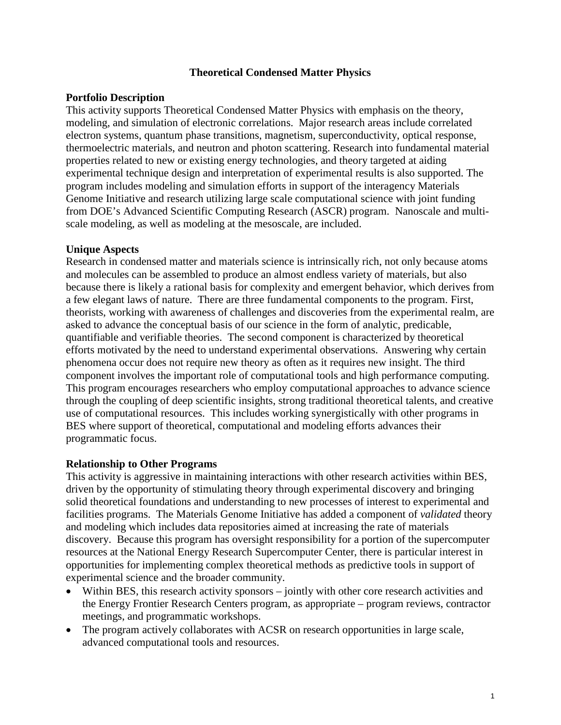## **Theoretical Condensed Matter Physics**

#### **Portfolio Description**

This activity supports Theoretical Condensed Matter Physics with emphasis on the theory, modeling, and simulation of electronic correlations. Major research areas include correlated electron systems, quantum phase transitions, magnetism, superconductivity, optical response, thermoelectric materials, and neutron and photon scattering. Research into fundamental material properties related to new or existing energy technologies, and theory targeted at aiding experimental technique design and interpretation of experimental results is also supported. The program includes modeling and simulation efforts in support of the interagency Materials Genome Initiative and research utilizing large scale computational science with joint funding from DOE's Advanced Scientific Computing Research (ASCR) program. Nanoscale and multiscale modeling, as well as modeling at the mesoscale, are included.

## **Unique Aspects**

Research in condensed matter and materials science is intrinsically rich, not only because atoms and molecules can be assembled to produce an almost endless variety of materials, but also because there is likely a rational basis for complexity and emergent behavior, which derives from a few elegant laws of nature. There are three fundamental components to the program. First, theorists, working with awareness of challenges and discoveries from the experimental realm, are asked to advance the conceptual basis of our science in the form of analytic, predicable, quantifiable and verifiable theories. The second component is characterized by theoretical efforts motivated by the need to understand experimental observations. Answering why certain phenomena occur does not require new theory as often as it requires new insight. The third component involves the important role of computational tools and high performance computing. This program encourages researchers who employ computational approaches to advance science through the coupling of deep scientific insights, strong traditional theoretical talents, and creative use of computational resources. This includes working synergistically with other programs in BES where support of theoretical, computational and modeling efforts advances their programmatic focus.

#### **Relationship to Other Programs**

This activity is aggressive in maintaining interactions with other research activities within BES, driven by the opportunity of stimulating theory through experimental discovery and bringing solid theoretical foundations and understanding to new processes of interest to experimental and facilities programs. The Materials Genome Initiative has added a component of *validated* theory and modeling which includes data repositories aimed at increasing the rate of materials discovery. Because this program has oversight responsibility for a portion of the supercomputer resources at the National Energy Research Supercomputer Center, there is particular interest in opportunities for implementing complex theoretical methods as predictive tools in support of experimental science and the broader community.

- Within BES, this research activity sponsors jointly with other core research activities and the Energy Frontier Research Centers program, as appropriate – program reviews, contractor meetings, and programmatic workshops.
- The program actively collaborates with ACSR on research opportunities in large scale, advanced computational tools and resources.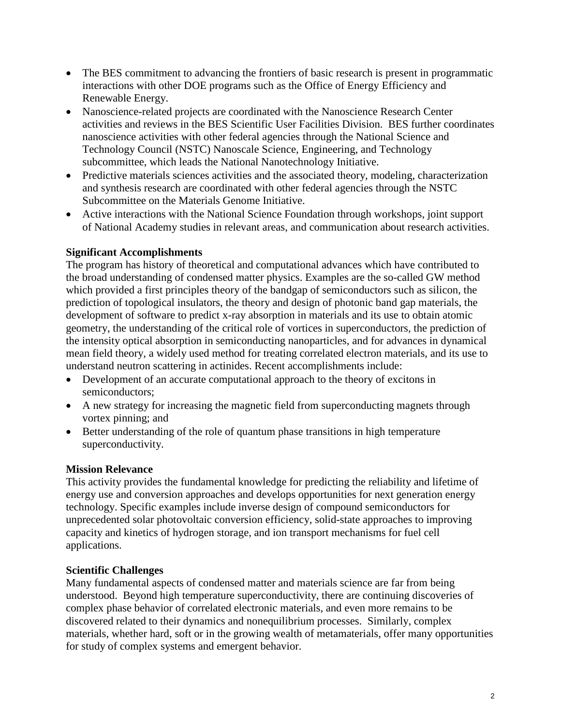- The BES commitment to advancing the frontiers of basic research is present in programmatic interactions with other DOE programs such as the Office of Energy Efficiency and Renewable Energy.
- Nanoscience-related projects are coordinated with the Nanoscience Research Center activities and reviews in the BES Scientific User Facilities Division. BES further coordinates nanoscience activities with other federal agencies through the National Science and Technology Council (NSTC) Nanoscale Science, Engineering, and Technology subcommittee, which leads the National Nanotechnology Initiative.
- Predictive materials sciences activities and the associated theory, modeling, characterization and synthesis research are coordinated with other federal agencies through the NSTC Subcommittee on the Materials Genome Initiative.
- Active interactions with the National Science Foundation through workshops, joint support of National Academy studies in relevant areas, and communication about research activities.

# **Significant Accomplishments**

The program has history of theoretical and computational advances which have contributed to the broad understanding of condensed matter physics. Examples are the so-called GW method which provided a first principles theory of the bandgap of semiconductors such as silicon, the prediction of topological insulators, the theory and design of photonic band gap materials, the development of software to predict x-ray absorption in materials and its use to obtain atomic geometry, the understanding of the critical role of vortices in superconductors, the prediction of the intensity optical absorption in semiconducting nanoparticles, and for advances in dynamical mean field theory, a widely used method for treating correlated electron materials, and its use to understand neutron scattering in actinides. Recent accomplishments include:

- Development of an accurate computational approach to the theory of excitons in semiconductors;
- A new strategy for increasing the magnetic field from superconducting magnets through vortex pinning; and
- Better understanding of the role of quantum phase transitions in high temperature superconductivity.

# **Mission Relevance**

This activity provides the fundamental knowledge for predicting the reliability and lifetime of energy use and conversion approaches and develops opportunities for next generation energy technology. Specific examples include inverse design of compound semiconductors for unprecedented solar photovoltaic conversion efficiency, solid-state approaches to improving capacity and kinetics of hydrogen storage, and ion transport mechanisms for fuel cell applications.

# **Scientific Challenges**

Many fundamental aspects of condensed matter and materials science are far from being understood. Beyond high temperature superconductivity, there are continuing discoveries of complex phase behavior of correlated electronic materials, and even more remains to be discovered related to their dynamics and nonequilibrium processes. Similarly, complex materials, whether hard, soft or in the growing wealth of metamaterials, offer many opportunities for study of complex systems and emergent behavior.